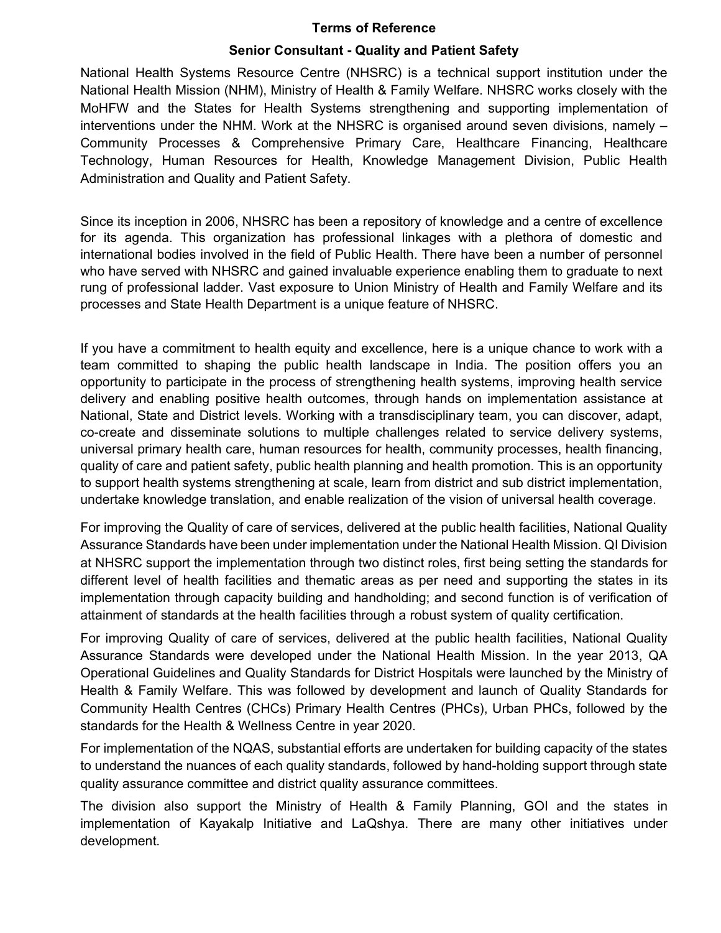#### Terms of Reference

#### Senior Consultant - Quality and Patient Safety

National Health Systems Resource Centre (NHSRC) is a technical support institution under the National Health Mission (NHM), Ministry of Health & Family Welfare. NHSRC works closely with the MoHFW and the States for Health Systems strengthening and supporting implementation of interventions under the NHM. Work at the NHSRC is organised around seven divisions, namely – Community Processes & Comprehensive Primary Care, Healthcare Financing, Healthcare Technology, Human Resources for Health, Knowledge Management Division, Public Health Administration and Quality and Patient Safety.

Since its inception in 2006, NHSRC has been a repository of knowledge and a centre of excellence for its agenda. This organization has professional linkages with a plethora of domestic and international bodies involved in the field of Public Health. There have been a number of personnel who have served with NHSRC and gained invaluable experience enabling them to graduate to next rung of professional ladder. Vast exposure to Union Ministry of Health and Family Welfare and its processes and State Health Department is a unique feature of NHSRC.

If you have a commitment to health equity and excellence, here is a unique chance to work with a team committed to shaping the public health landscape in India. The position offers you an opportunity to participate in the process of strengthening health systems, improving health service delivery and enabling positive health outcomes, through hands on implementation assistance at National, State and District levels. Working with a transdisciplinary team, you can discover, adapt, co-create and disseminate solutions to multiple challenges related to service delivery systems, universal primary health care, human resources for health, community processes, health financing, quality of care and patient safety, public health planning and health promotion. This is an opportunity to support health systems strengthening at scale, learn from district and sub district implementation, undertake knowledge translation, and enable realization of the vision of universal health coverage.

For improving the Quality of care of services, delivered at the public health facilities, National Quality Assurance Standards have been under implementation under the National Health Mission. QI Division at NHSRC support the implementation through two distinct roles, first being setting the standards for different level of health facilities and thematic areas as per need and supporting the states in its implementation through capacity building and handholding; and second function is of verification of attainment of standards at the health facilities through a robust system of quality certification.

For improving Quality of care of services, delivered at the public health facilities, National Quality Assurance Standards were developed under the National Health Mission. In the year 2013, QA Operational Guidelines and Quality Standards for District Hospitals were launched by the Ministry of Health & Family Welfare. This was followed by development and launch of Quality Standards for Community Health Centres (CHCs) Primary Health Centres (PHCs), Urban PHCs, followed by the standards for the Health & Wellness Centre in year 2020.

For implementation of the NQAS, substantial efforts are undertaken for building capacity of the states to understand the nuances of each quality standards, followed by hand-holding support through state quality assurance committee and district quality assurance committees.

The division also support the Ministry of Health & Family Planning, GOI and the states in implementation of Kayakalp Initiative and LaQshya. There are many other initiatives under development.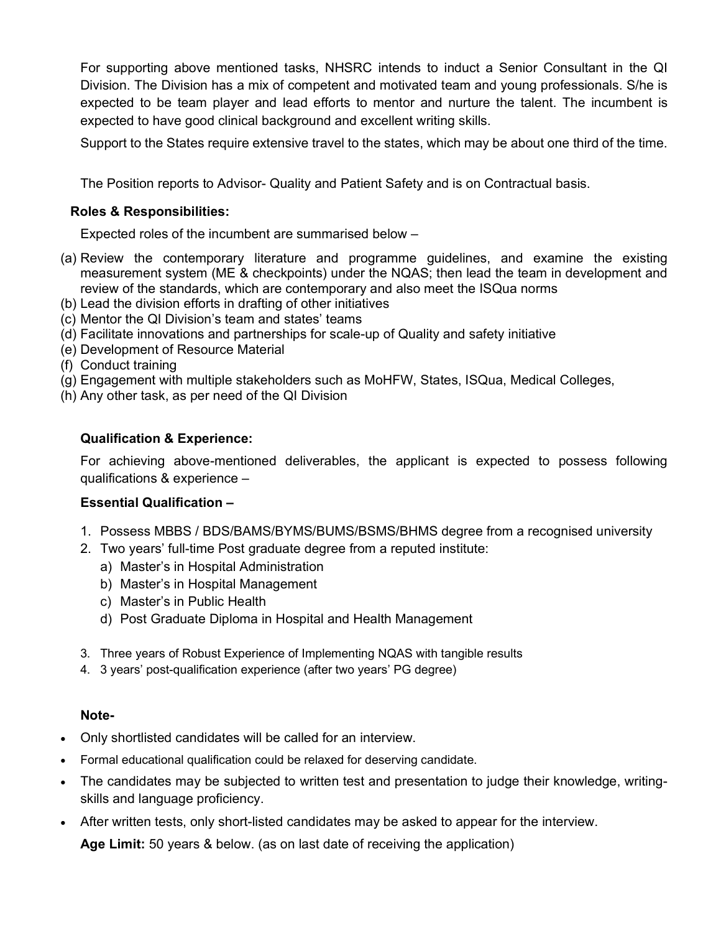For supporting above mentioned tasks, NHSRC intends to induct a Senior Consultant in the QI Division. The Division has a mix of competent and motivated team and young professionals. S/he is expected to be team player and lead efforts to mentor and nurture the talent. The incumbent is expected to have good clinical background and excellent writing skills.

Support to the States require extensive travel to the states, which may be about one third of the time.

The Position reports to Advisor- Quality and Patient Safety and is on Contractual basis.

### Roles & Responsibilities:

Expected roles of the incumbent are summarised below –

- (a) Review the contemporary literature and programme guidelines, and examine the existing measurement system (ME & checkpoints) under the NQAS; then lead the team in development and review of the standards, which are contemporary and also meet the ISQua norms
- (b) Lead the division efforts in drafting of other initiatives
- (c) Mentor the QI Division's team and states' teams
- (d) Facilitate innovations and partnerships for scale-up of Quality and safety initiative
- (e) Development of Resource Material
- (f) Conduct training
- (g) Engagement with multiple stakeholders such as MoHFW, States, ISQua, Medical Colleges,
- (h) Any other task, as per need of the QI Division

## Qualification & Experience:

For achieving above-mentioned deliverables, the applicant is expected to possess following qualifications & experience –

#### Essential Qualification –

- 1. Possess MBBS / BDS/BAMS/BYMS/BUMS/BSMS/BHMS degree from a recognised university
- 2. Two years' full-time Post graduate degree from a reputed institute:
	- a) Master's in Hospital Administration
	- b) Master's in Hospital Management
	- c) Master's in Public Health
	- d) Post Graduate Diploma in Hospital and Health Management
- 3. Three years of Robust Experience of Implementing NQAS with tangible results
- 4. 3 years' post-qualification experience (after two years' PG degree)

#### Note-

- Only shortlisted candidates will be called for an interview.
- Formal educational qualification could be relaxed for deserving candidate.
- The candidates may be subjected to written test and presentation to judge their knowledge, writingskills and language proficiency.
- After written tests, only short-listed candidates may be asked to appear for the interview.

Age Limit: 50 years & below. (as on last date of receiving the application)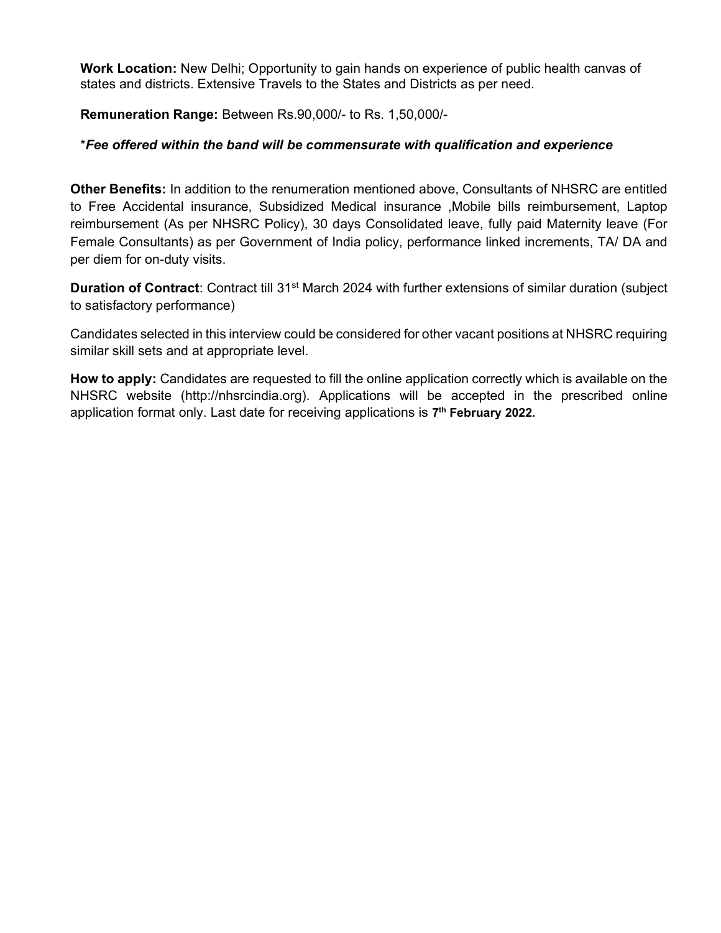Work Location: New Delhi; Opportunity to gain hands on experience of public health canvas of states and districts. Extensive Travels to the States and Districts as per need.

Remuneration Range: Between Rs.90,000/- to Rs. 1,50,000/-

### \*Fee offered within the band will be commensurate with qualification and experience

Other Benefits: In addition to the renumeration mentioned above, Consultants of NHSRC are entitled to Free Accidental insurance, Subsidized Medical insurance ,Mobile bills reimbursement, Laptop reimbursement (As per NHSRC Policy), 30 days Consolidated leave, fully paid Maternity leave (For Female Consultants) as per Government of India policy, performance linked increments, TA/ DA and per diem for on-duty visits.

Duration of Contract: Contract till 31<sup>st</sup> March 2024 with further extensions of similar duration (subject to satisfactory performance)

Candidates selected in this interview could be considered for other vacant positions at NHSRC requiring similar skill sets and at appropriate level.

How to apply: Candidates are requested to fill the online application correctly which is available on the NHSRC website (http://nhsrcindia.org). Applications will be accepted in the prescribed online application format only. Last date for receiving applications is 7<sup>th</sup> February 2022.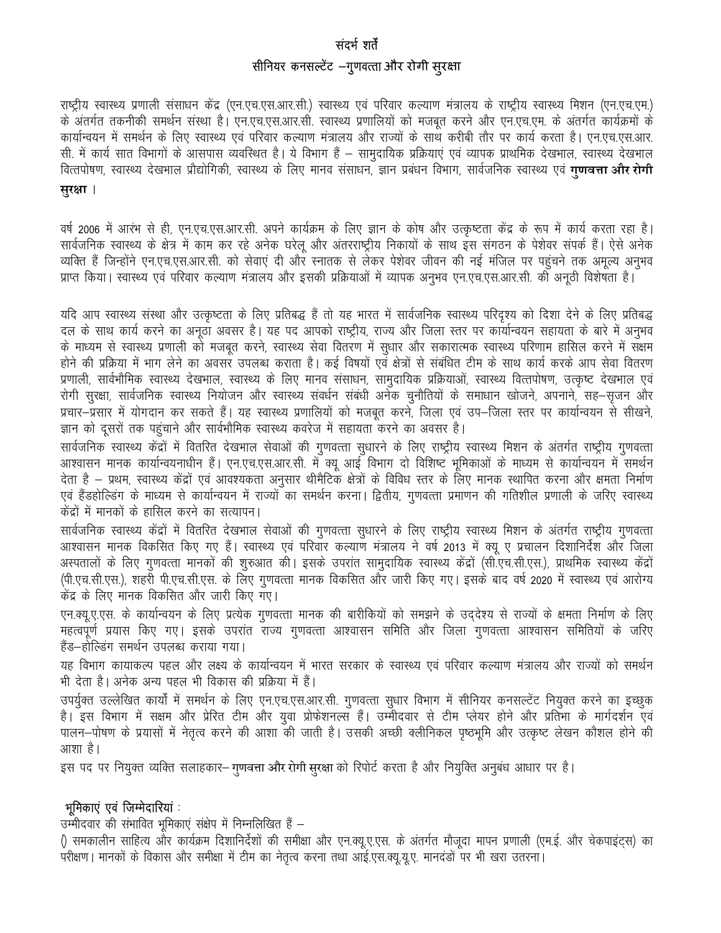## संदर्भ शर्तें सीनियर कनसल्टेंट –गुणवत्ता और रोगी सूरक्षा

राष्ट्रीय स्वास्थ्य प्रणाली संसाधन केंद्र (एन.एच.एस.आर.सी.) स्वास्थ्य एवं परिवार कल्याण मंत्रालय के राष्ट्रीय स्वास्थ्य मिशन (एन.एच.एम.) के अंतर्गत तकनीकी समर्थन संस्था है। एन.एच.एस.आर.सी. स्वास्थ्य प्रणालियों को मजबूत करने और एन.एच.एम. के अंतर्गत कार्यक्रमों के कार्यान्वयन में समर्थन के लिए स्वास्थ्य एवं परिवार कल्याण मंत्रालय और राज्यों के साथ करीबी तौर पर कार्य करता है। एन.एच.एस.आर. सी. में कार्य सात विभागों के आसपास व्यवस्थित है। ये विभाग हैं – सामुदायिक प्रक्रियाएं एवं व्यापक प्राथमिक देखभाल, स्वास्थ्य देखभाल वित्तपोषण, स्वास्थ्य देखभाल प्रौद्योगिकी, स्वास्थ्य के लिए मानव संसाधन, ज्ञान प्रबंधन विभाग, सार्वजनिक स्वास्थ्य एवं **गुणवत्ता और रोगी** 

#### सरक्षा ।

वर्ष 2006 में आरंभ से ही, एन.एच.एस.आर.सी. अपने कार्यक्रम के लिए ज्ञान के कोष और उत्कृष्टता केंद्र के रूप में कार्य करता रहा है। सार्वजनिक स्वास्थ्य के क्षेत्र में काम कर रहे अनेक घरेलू और अंतरराष्ट्रीय निकायों के साथ इस संगठन के पेशेवर संपर्क हैं। ऐसे अनेक व्यक्ति हैं जिन्होंने एन.एच.एस.आर.सी. को सेवाएं दी और स्नातक से लेकर पेशेवर जीवन की नई मंजिल पर पहुंचने तक अमृल्य अनुभव प्राप्त किया। स्वास्थ्य एवं परिवार कल्याण मंत्रालय और इसकी प्रक्रियाओं में व्यापक अनुभव एन.एच.एस.आर.सी. की अनूठी विशेषता है।

यदि आप स्वास्थ्य संस्था और उत्कृष्टता के लिए प्रतिबद्ध हैं तो यह भारत में सार्वजनिक स्वास्थ्य परिदृश्य को दिशा देने के लिए प्रतिबद्ध दल के साथ कार्य करने का अनुठा अवसर है। यह पद आपको राष्ट्रीय, राज्य और जिला स्तर पर कार्यान्वयन सहायता के बारे में अनुभव के माध्यम से स्वास्थ्य प्रणाली को मजबूत करने, स्वास्थ्य सेवा वितरण में सुधार और सकारात्मक स्वास्थ्य परिणाम हासिल करने में सक्षम होने की प्रक्रिया में भाग लेने का अवसर उपलब्ध कराता है। कई विषयों एवं क्षेत्रों से संबंधित टीम के साथ कार्य करके आप सेवा वितरण प्रणाली, सार्वभौमिक स्वास्थ्य देखभाल, स्वास्थ्य के लिए मानव संसाधन, सामुदायिक प्रक्रियाओं, स्वास्थ्य वित्तपोषण, उत्कृष्ट देखभाल एवं रोगी सुरक्षा, सार्वजनिक स्वास्थ्य नियोजन और स्वास्थ्य संवर्धन संबंधी अनेक चुनौतियों के समाधान खोजने, अपनाने, सह—सृजन और प्रचार-प्रसार में योगदान कर सकते हैं। यह स्वास्थ्य प्रणालियों को मजबूत करने, जिला एवं उप–जिला स्तर पर कार्यान्वयन से सीखने, ज्ञान को दूसरों तक पहुंचाने और सार्वभौमिक स्वास्थ्य कवरेज में सहायता करने का अवसर है।

सार्वजनिक स्वास्थ्य केंद्रों में वितरित देखभाल सेवाओं की गुणवत्ता सुधारने के लिए राष्ट्रीय स्वास्थ्य मिशन के अंतर्गत राष्ट्रीय गुणवत्ता आश्वासन मानक कार्यान्वयनाधीन हैं। एन.एच.एस.आर.सी. में क्यू आई विभाग दो विशिष्ट भूमिकाओं के माध्यम से कार्यान्वयन में समर्थन देता है – प्रथम, स्वास्थ्य केंद्रों एवं आवश्यकता अनुसार थीमैटिक क्षेत्रों के विविध स्तर के लिए मानक स्थापित करना और क्षमता निर्माण एवं हैंडहोल्डिंग के माध्यम से कार्यान्वयन में राज्यों का समर्थन करना। द्वितीय, गुणवत्ता प्रमाणन की गतिशील प्रणाली के जरिए स्वास्थ्य केंद्रों में मानकों के हासिल करने का सत्यापन।

सार्वजनिक स्वास्थ्य केंद्रों में वितरित देखभाल सेवाओं की गुणवत्ता सुधारने के लिए राष्ट्रीय स्वास्थ्य मिशन के अंतर्गत राष्ट्रीय गुणवत्ता आश्वासन मानक विकसित किए गए हैं। स्वास्थ्य एवं परिवार कल्याण मंत्रालय ने वर्ष 2013 में क्यू ए प्रचालन दिशानिर्देश और जिला अस्पतालों के लिए गुणवत्ता मानकों की शुरुआत की। इसके उपरांत सामुदायिक स्वास्थ्य केंद्रों (सी.एच.सी.एस.), प्राथमिक स्वास्थ्य केंद्रों (पी.एच.सी.एस.), शहरी पी.एच.सी.एस. के लिए गुणवत्ता मानक विकसित और जारी किए गए। इसके बाद वर्ष 2020 में स्वास्थ्य एवं आरोग्य केंद्र के लिए मानक विकसित और जारी किए गए।

एन.क्यू.ए.एस. के कार्यान्वयन के लिए प्रत्येक गुणवत्ता मानक की बारीकियों को समझने के उद्देश्य से राज्यों के क्षमता निर्माण के लिए महत्वपूर्ण प्रयास किए गए। इसके उपरांत राज्य गुणवत्ता आश्वासन समिति और जिला गुणवत्ता आश्वासन समितियों के जरिए हैंड–होल्डिंग समर्थन उपलब्ध कराया गया।

यह विभाग कायाकल्प पहल और लक्ष्य के कार्यान्वयन में भारत सरकार के स्वास्थ्य एवं परिवार कल्याण मंत्रालय और राज्यों को समर्थन भी देता है। अनेक अन्य पहल भी विकास की प्रक्रिया में हैं।

उपर्युक्त उल्लेखित कार्यों में समर्थन के लिए एन.एच.एस.आर.सी. गुणवत्ता सुधार विभाग में सीनियर कनसल्टेंट नियुक्त करने का इच्छुक है। इस विभाग में सक्षम और प्रेरित टीम और युवा प्रोफेशनल्स हैं। उम्मीदवार से टीम प्लेयर होने और प्रतिभा के मार्गदर्शन एवं पालन–पोषण के प्रयासों में नेतृत्व करने की आशा की जाती है। उसकी अच्छी क्लीनिकल पृष्ठभूमि और उत्कृष्ट लेखन कौशल होने की आशा है।

इस पद पर नियुक्त व्यक्ति सलाहकार– गुणवत्ता और रोगी सुरक्षा को रिपोर्ट करता है और नियुक्ति अनुबंध आधार पर है।

#### भूमिकाएं एवं जिम्मेदारियां :

उम्मीदवार की संभावित भूमिकाएं संक्षेप में निम्नलिखित हैं –

() समकालीन साहित्य और कार्यक्रम दिशानिर्देशों की समीक्षा और एन.क्यू.ए.एस. के अंतर्गत मौजूदा मापन प्रणाली (एम.ई. और चेकपाइंट्स) का परीक्षण। मानकों के विकास और समीक्षा में टीम का नेतृत्व करना तथा आई.एस.क्यू.यू.ए. मानदडों पर भी खरा उतरना।